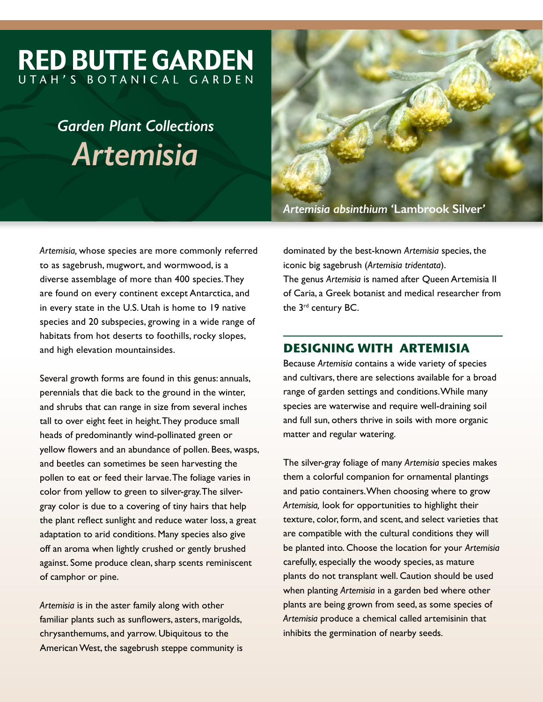# **RED BUTTE GARDEN** UTAH'S BOTANICAL GARDEN

# *Garden Plant Collections Artemisia*

*Artemisia absinthium '***Lambrook Silver***'* 

*Artemisia,* whose species are more commonly referred to as sagebrush, mugwort, and wormwood, is a diverse assemblage of more than 400 species. They are found on every continent except Antarctica, and in every state in the U.S. Utah is home to 19 native species and 20 subspecies, growing in a wide range of habitats from hot deserts to foothills, rocky slopes, and high elevation mountainsides.

Several growth forms are found in this genus: annuals, perennials that die back to the ground in the winter, and shrubs that can range in size from several inches tall to over eight feet in height. They produce small heads of predominantly wind-pollinated green or yellow flowers and an abundance of pollen. Bees, wasps, and beetles can sometimes be seen harvesting the pollen to eat or feed their larvae. The foliage varies in color from yellow to green to silver-gray. The silvergray color is due to a covering of tiny hairs that help the plant reflect sunlight and reduce water loss, a great adaptation to arid conditions. Many species also give off an aroma when lightly crushed or gently brushed against. Some produce clean, sharp scents reminiscent of camphor or pine.

*Artemisia* is in the aster family along with other familiar plants such as sunflowers, asters, marigolds, chrysanthemums, and yarrow. Ubiquitous to the American West, the sagebrush steppe community is

dominated by the best-known *Artemisia* species, the iconic big sagebrush (*Artemisia tridentata*). The genus *Artemisia* is named after Queen Artemisia II of Caria, a Greek botanist and medical researcher from the 3<sup>rd</sup> century BC.

## **DESIGNING WITH ARTEMISIA**

Because *Artemisia* contains a wide variety of species and cultivars, there are selections available for a broad range of garden settings and conditions. While many species are waterwise and require well-draining soil and full sun, others thrive in soils with more organic matter and regular watering.

The silver-gray foliage of many *Artemisia* species makes them a colorful companion for ornamental plantings and patio containers. When choosing where to grow *Artemisia,* look for opportunities to highlight their texture, color, form, and scent, and select varieties that are compatible with the cultural conditions they will be planted into. Choose the location for your *Artemisia* carefully, especially the woody species, as mature plants do not transplant well. Caution should be used when planting *Artemisia* in a garden bed where other plants are being grown from seed, as some species of *Artemisia* produce a chemical called artemisinin that inhibits the germination of nearby seeds.